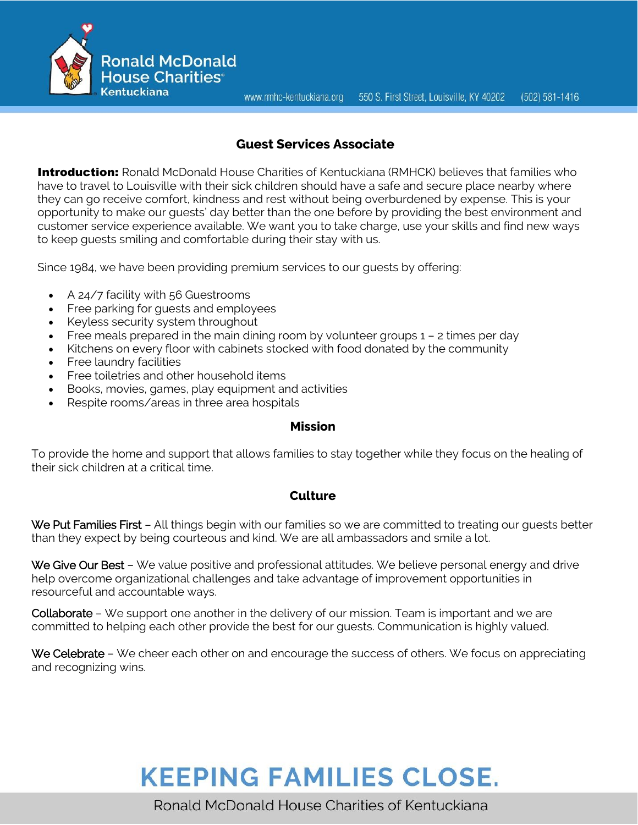www.rmhc-kentuckiana.org 550 S. First Street, Louisville, KY 40202  $(502) 581 - 1416$ 



## **Guest Services Associate**

**Introduction:** Ronald McDonald House Charities of Kentuckiana (RMHCK) believes that families who have to travel to Louisville with their sick children should have a safe and secure place nearby where they can go receive comfort, kindness and rest without being overburdened by expense. This is your opportunity to make our guests' day better than the one before by providing the best environment and customer service experience available. We want you to take charge, use your skills and find new ways to keep guests smiling and comfortable during their stay with us.

Since 1984, we have been providing premium services to our guests by offering:

- A 24/7 facility with 56 Guestrooms
- Free parking for guests and employees
- Keyless security system throughout
- Free meals prepared in the main dining room by volunteer groups  $1 2$  times per day
- Kitchens on every floor with cabinets stocked with food donated by the community
- Free laundry facilities
- Free toiletries and other household items
- Books, movies, games, play equipment and activities
- Respite rooms/areas in three area hospitals

#### **Mission**

To provide the home and support that allows families to stay together while they focus on the healing of their sick children at a critical time.

## **Culture**

We Put Families First – All things begin with our families so we are committed to treating our quests better than they expect by being courteous and kind. We are all ambassadors and smile a lot.

We Give Our Best - We value positive and professional attitudes. We believe personal energy and drive help overcome organizational challenges and take advantage of improvement opportunities in resourceful and accountable ways.

Collaborate – We support one another in the delivery of our mission. Team is important and we are committed to helping each other provide the best for our guests. Communication is highly valued.

We Celebrate – We cheer each other on and encourage the success of others. We focus on appreciating and recognizing wins.

# **KEEPING FAMILIES CLOSE.**

Ronald McDonald House Charities of Kentuckiana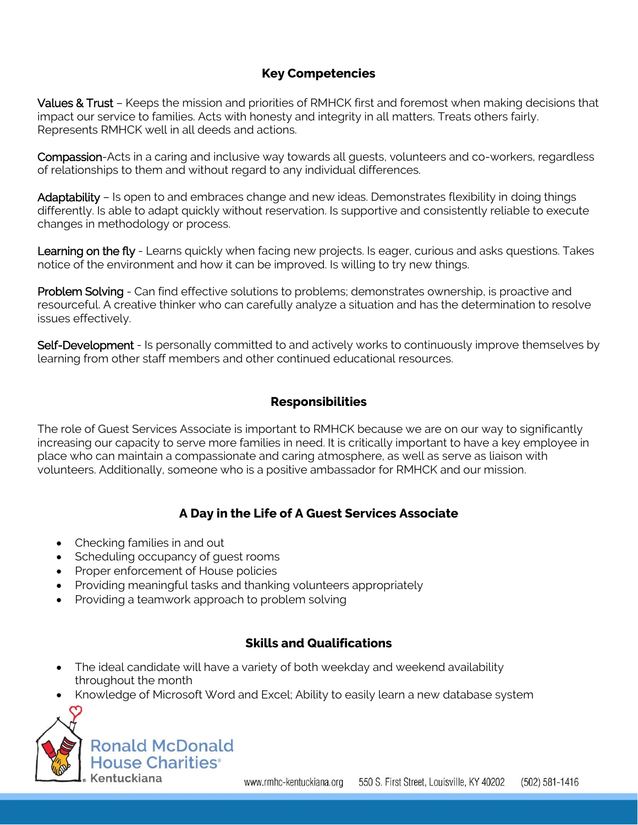# **Key Competencies**

Values & Trust - Keeps the mission and priorities of RMHCK first and foremost when making decisions that impact our service to families. Acts with honesty and integrity in all matters. Treats others fairly. Represents RMHCK well in all deeds and actions.

Compassion-Acts in a caring and inclusive way towards all guests, volunteers and co-workers, regardless of relationships to them and without regard to any individual differences.

Adaptability – Is open to and embraces change and new ideas. Demonstrates flexibility in doing things differently. Is able to adapt quickly without reservation. Is supportive and consistently reliable to execute changes in methodology or process.

Learning on the fly - Learns quickly when facing new projects. Is eager, curious and asks questions. Takes notice of the environment and how it can be improved. Is willing to try new things.

Problem Solving - Can find effective solutions to problems; demonstrates ownership, is proactive and resourceful. A creative thinker who can carefully analyze a situation and has the determination to resolve issues effectively.

Self-Development - Is personally committed to and actively works to continuously improve themselves by learning from other staff members and other continued educational resources.

# **Responsibilities**

The role of Guest Services Associate is important to RMHCK because we are on our way to significantly increasing our capacity to serve more families in need. It is critically important to have a key employee in place who can maintain a compassionate and caring atmosphere, as well as serve as liaison with volunteers. Additionally, someone who is a positive ambassador for RMHCK and our mission.

# **A Day in the Life of A Guest Services Associate**

- Checking families in and out
- Scheduling occupancy of quest rooms
- Proper enforcement of House policies
- Providing meaningful tasks and thanking volunteers appropriately
- Providing a teamwork approach to problem solving

## **Skills and Qualifications**

- The ideal candidate will have a variety of both weekday and weekend availability throughout the month
- Knowledge of Microsoft Word and Excel; Ability to easily learn a new database system